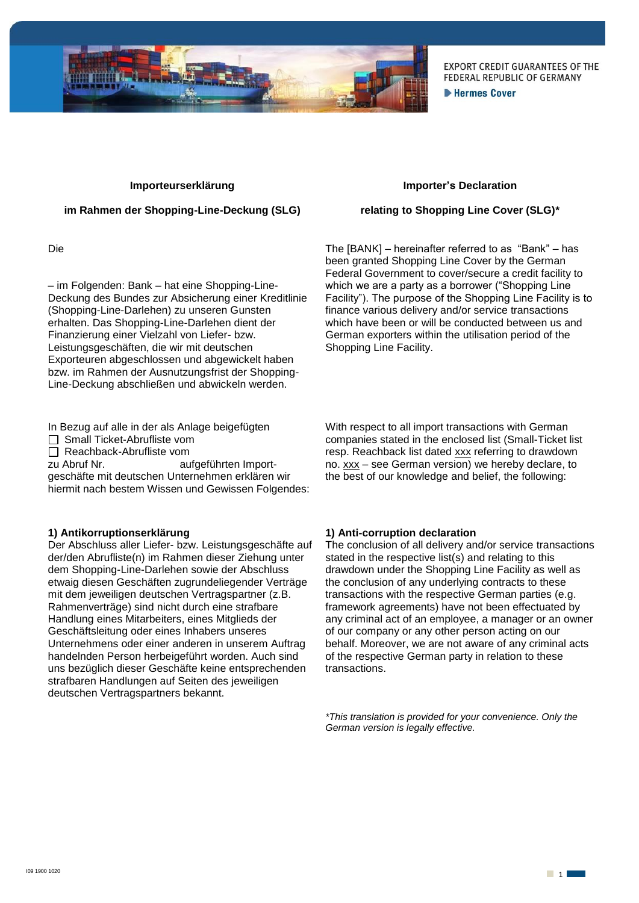

**EXPORT CREDIT GUARANTEES OF THE** FEDERAL REPUBLIC OF GERMANY **Extermes Cover** 

#### **Importeurserklärung**

### **im Rahmen der Shopping-Line-Deckung (SLG)**

Die

– im Folgenden: Bank – hat eine Shopping-Line-Deckung des Bundes zur Absicherung einer Kreditlinie (Shopping-Line-Darlehen) zu unseren Gunsten erhalten. Das Shopping-Line-Darlehen dient der Finanzierung einer Vielzahl von Liefer- bzw. Leistungsgeschäften, die wir mit deutschen Exporteuren abgeschlossen und abgewickelt haben bzw. im Rahmen der Ausnutzungsfrist der Shopping-Line-Deckung abschließen und abwickeln werden.

- In Bezug auf alle in der als Anlage beigefügten
- Small Ticket-Abrufliste vom
- Reachback-Abrufliste vom<br>zu Abruf Nr. au

aufgeführten Importgeschäfte mit deutschen Unternehmen erklären wir hiermit nach bestem Wissen und Gewissen Folgendes:

# **1) Antikorruptionserklärung**

Der Abschluss aller Liefer- bzw. Leistungsgeschäfte auf der/den Abrufliste(n) im Rahmen dieser Ziehung unter dem Shopping-Line-Darlehen sowie der Abschluss etwaig diesen Geschäften zugrundeliegender Verträge mit dem jeweiligen deutschen Vertragspartner (z.B. Rahmenverträge) sind nicht durch eine strafbare Handlung eines Mitarbeiters, eines Mitglieds der Geschäftsleitung oder eines Inhabers unseres Unternehmens oder einer anderen in unserem Auftrag handelnden Person herbeigeführt worden. Auch sind uns bezüglich dieser Geschäfte keine entsprechenden strafbaren Handlungen auf Seiten des jeweiligen deutschen Vertragspartners bekannt.

#### **Importer's Declaration**

### **relating to Shopping Line Cover (SLG)\***

The [BANK] – hereinafter referred to as "Bank" – has been granted Shopping Line Cover by the German Federal Government to cover/secure a credit facility to which we are a party as a borrower ("Shopping Line" Facility"). The purpose of the Shopping Line Facility is to finance various delivery and/or service transactions which have been or will be conducted between us and German exporters within the utilisation period of the Shopping Line Facility.

With respect to all import transactions with German companies stated in the enclosed list (Small-Ticket list resp. Reachback list dated xxx referring to drawdown no. xxx – see German version) we hereby declare, to the best of our knowledge and belief, the following:

# **1) Anti-corruption declaration**

The conclusion of all delivery and/or service transactions stated in the respective list(s) and relating to this drawdown under the Shopping Line Facility as well as the conclusion of any underlying contracts to these transactions with the respective German parties (e.g. framework agreements) have not been effectuated by any criminal act of an employee, a manager or an owner of our company or any other person acting on our behalf. Moreover, we are not aware of any criminal acts of the respective German party in relation to these transactions.

*\*This translation is provided for your convenience. Only the German version is legally effective.*

 $\Box$  1